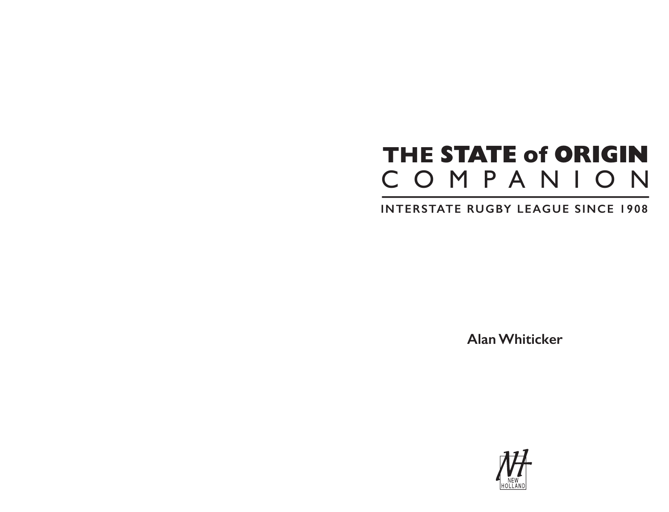## **THE STATE of ORIGIN**  COMPANION

## **INTERSTATE RUGBY LEAGUE SINCE 1908**

**Alan Whiticker**

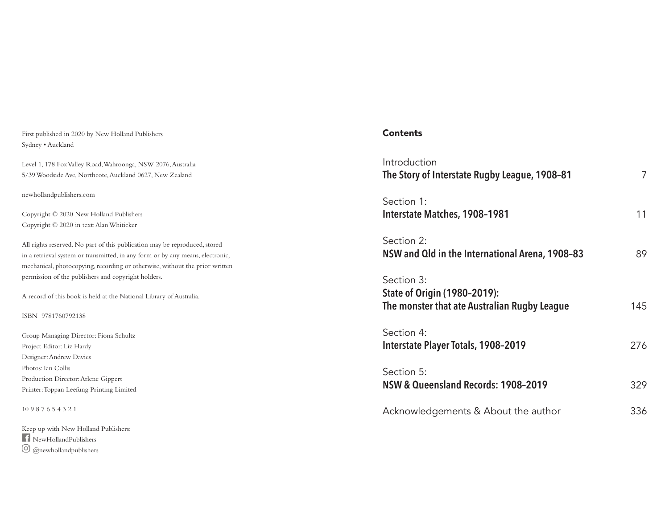First published in 2020 by New Holland Publishers Sydney • Auckland

Level 1, 178 Fox Valley Road, Wahroonga, NSW 2076, Australia 5/39 Woodside Ave, Northcote, Auckland 0627, New Zealand

newhollandpublishers.com

Copyright © 2020 New Holland Publishers Copyright © 2020 in text: Alan Whiticker

All rights reserved. No part of this publication may be reproduced, stored in a retrieval system or transmitted, in any form or by any means, electronic, mechanical, photocopying, recording or otherwise, without the prior written permission of the publishers and copyright holders.

A record of this book is held at the National Library of Australia.

ISBN 9781760792138

Group Managing Director: Fiona Schultz Project Editor: Liz Hardy Designer: Andrew Davies Photos: Ian Collis Production Director: Arlene Gippert Printer: Toppan Leefung Printing Limited

10 9 8 7 6 5 4 3 2 1

Keep up with New Holland Publishers: NewHollandPublishers  $\textcircled{\small{a}}$ @newhollandpublishers

#### **Contents**

| Introduction<br>The Story of Interstate Rugby League, 1908-81                              | 7   |
|--------------------------------------------------------------------------------------------|-----|
| Section 1:<br><b>Interstate Matches, 1908-1981</b>                                         | 11  |
| Section 2:<br>NSW and Qld in the International Arena, 1908-83                              | 89  |
| Section 3:<br>State of Origin (1980-2019):<br>The monster that ate Australian Rugby League | 145 |
| Section 4:<br><b>Interstate Player Totals, 1908-2019</b>                                   | 276 |
| Section 5:<br>NSW & Queensland Records: 1908-2019                                          | 329 |
| Acknowledgements & About the author                                                        | 336 |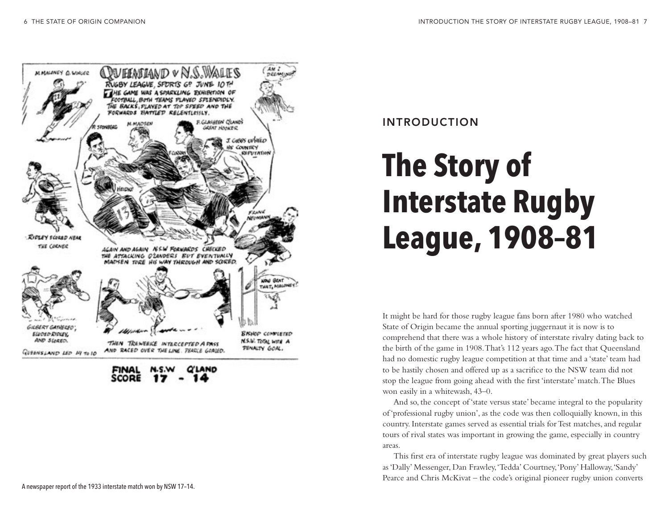

INTRODUCTION

# **The Story of Interstate Rugby League, 1908–81**

It might be hard for those rugby league fans born after 1980 who watched State of Origin became the annual sporting juggernaut it is now is to comprehend that there was a whole history of interstate rivalry dating back to the birth of the game in 1908. That's 112 years ago. The fact that Queensland had no domestic rugby league competition at that time and a 'state' team had to be hastily chosen and offered up as a sacrifice to the NSW team did not stop the league from going ahead with the first 'interstate' match. The Blues won easily in a whitewash, 43–0.

And so, the concept of 'state versus state' became integral to the popularity of 'professional rugby union', as the code was then colloquially known, in this country. Interstate games served as essential trials for Test matches, and regular tours of rival states was important in growing the game, especially in country areas.

This first era of interstate rugby league was dominated by great players such as 'Dally' Messenger, Dan Frawley, 'Tedda' Courtney, 'Pony' Halloway, 'Sandy' Pearce and Chris McKivat – the code's original pioneer rugby union converts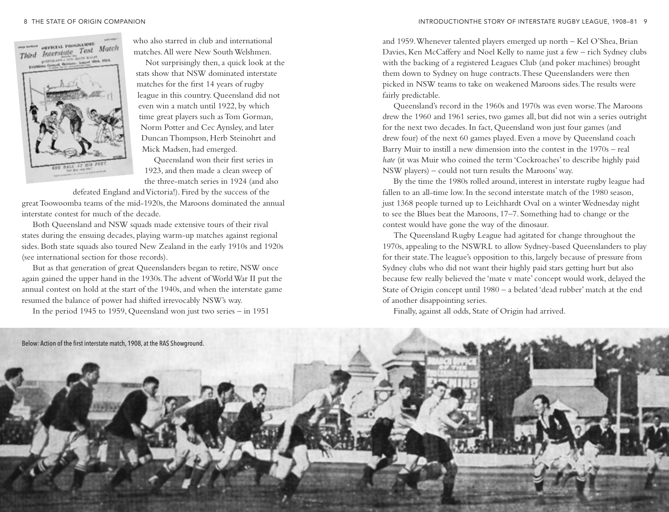

who also starred in club and international matches. All were New South Welshmen.

Not surprisingly then, a quick look at the stats show that NSW dominated interstate matches for the first 14 years of rugby league in this country. Queensland did not even win a match until 1922, by which time great players such as Tom Gorman, Norm Potter and Cec Aynsley, and later Duncan Thompson, Herb Steinohrt and Mick Madsen, had emerged.

Queensland won their first series in 1923, and then made a clean sweep of the three-match series in 1924 (and also

defeated England and Victoria!). Fired by the success of the great Toowoomba teams of the mid-1920s, the Maroons dominated the annual interstate contest for much of the decade.

Both Queensland and NSW squads made extensive tours of their rival states during the ensuing decades, playing warm-up matches against regional sides. Both state squads also toured New Zealand in the early 1910s and 1920s (see international section for those records).

But as that generation of great Queenslanders began to retire, NSW once again gained the upper hand in the 1930s. The advent of World War II put the annual contest on hold at the start of the 1940s, and when the interstate game resumed the balance of power had shifted irrevocably NSW's way.

In the period 1945 to 1959, Queensland won just two series – in 1951

and 1959. Whenever talented players emerged up north – Kel O'Shea, Brian Davies, Ken McCaffery and Noel Kelly to name just a few – rich Sydney clubs with the backing of a registered Leagues Club (and poker machines) brought them down to Sydney on huge contracts. These Queenslanders were then picked in NSW teams to take on weakened Maroons sides. The results were fairly predictable.

Queensland's record in the 1960s and 1970s was even worse. The Maroons drew the 1960 and 1961 series, two games all, but did not win a series outright for the next two decades. In fact, Queensland won just four games (and drew four) of the next 60 games played. Even a move by Queensland coach Barry Muir to instill a new dimension into the contest in the 1970s – real *hate* (it was Muir who coined the term 'Cockroaches' to describe highly paid NSW players) – could not turn results the Maroons' way.

By the time the 1980s rolled around, interest in interstate rugby league had fallen to an all-time low. In the second interstate match of the 1980 season, just 1368 people turned up to Leichhardt Oval on a winter Wednesday night to see the Blues beat the Maroons, 17–7. Something had to change or the contest would have gone the way of the dinosaur.

The Queensland Rugby League had agitated for change throughout the 1970s, appealing to the NSWRL to allow Sydney-based Queenslanders to play for their state. The league's opposition to this, largely because of pressure from Sydney clubs who did not want their highly paid stars getting hurt but also because few really believed the 'mate v mate' concept would work, delayed the State of Origin concept until 1980 – a belated 'dead rubber' match at the end of another disappointing series.

Finally, against all odds, State of Origin had arrived.

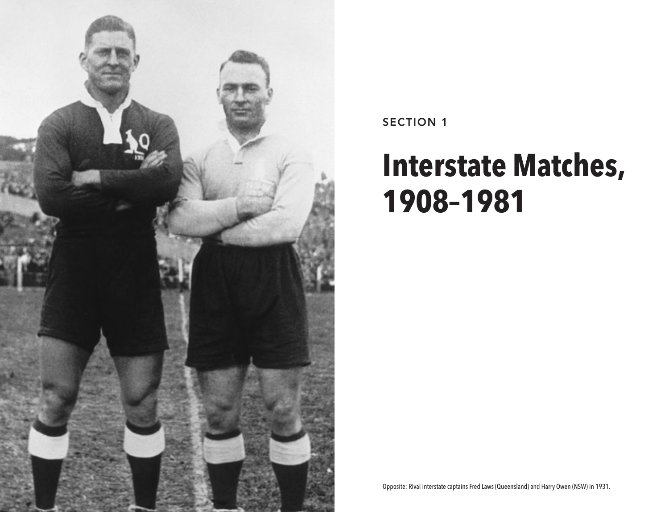

SECTION 1

## **Interstate Matches, 1908–1981**

Opposite: Rival interstate captains Fred Laws (Queensland) and Harry Owen (NSW) in 1931.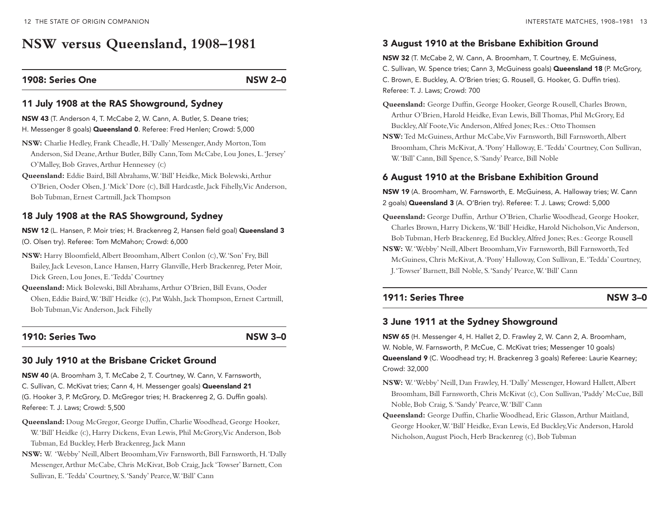## **NSW versus Queensland, 1908–1981**

#### 1908: Series One NSW 2–0

#### 11 July 1908 at the RAS Showground, Sydney

NSW 43 (T. Anderson 4, T. McCabe 2, W. Cann, A. Butler, S. Deane tries; H. Messenger 8 goals) **Queensland 0**. Referee: Fred Henlen; Crowd: 5,000

- **NSW:** Charlie Hedley, Frank Cheadle, H.'Dally' Messenger, Andy Morton, Tom Anderson, Sid Deane, Arthur Butler, Billy Cann, Tom McCabe, Lou Jones, L.'Jersey' O'Malley, Bob Graves, Arthur Hennessey (c)
- **Queensland:** Eddie Baird, Bill Abrahams, W.'Bill' Heidke, Mick Bolewski, Arthur O'Brien, Ooder Olsen, J.'Mick' Dore (c), Bill Hardcastle, Jack Fihelly, Vic Anderson, Bob Tubman, Ernest Cartmill, JackThompson

#### 18 July 1908 at the RAS Showground, Sydney

NSW 12 (L. Hansen, P. Moir tries; H. Brackenreg 2, Hansen field goal) Queensland 3 (O. Olsen try). Referee: Tom McMahon; Crowd: 6,000

- **NSW:** Harry Bloomfield, Albert Broomham, Albert Conlon (c), W.'Son' Fry, Bill Bailey, Jack Leveson, Lance Hansen, Harry Glanville, Herb Brackenreg, Peter Moir, Dick Green, Lou Jones, E.'Tedda' Courtney
- **Queensland:** Mick Bolewski, Bill Abrahams, Arthur O'Brien, Bill Evans, Ooder Olsen, Eddie Baird, W.'Bill' Heidke (c), Pat Walsh, Jack Thompson, Ernest Cartmill, Bob Tubman, Vic Anderson, Jack Fihelly

#### 1910: Series Two NSW 3-0

#### 30 July 1910 at the Brisbane Cricket Ground

NSW 40 (A. Broomham 3, T. McCabe 2, T. Courtney, W. Cann, V. Farnsworth, C. Sullivan, C. McKivat tries; Cann 4, h. Messenger goals) Queensland 21 (G. Hooker 3, P. McGrory, D. McGregor tries; H. Brackenreg 2, G. Duffn goals). Referee: T. J. Laws; Crowd: 5,500

- **Queensland:** Doug McGregor, George Duffin, Charlie Woodhead, George Hooker, W.'Bill' Heidke (c), Harry Dickens, Evan Lewis, Phil McGrory, Vic Anderson, Bob Tubman, Ed Buckley, Herb Brackenreg, Jack Mann
- **NSW:** W. 'Webby' Neill, Albert Broomham, Viv Farnsworth, Bill Farnsworth, H.'Dally Messenger, Arthur McCabe, Chris McKivat, Bob Craig, Jack 'Towser' Barnett, Con Sullivan, E.'Tedda' Courtney, S.'Sandy' Pearce, W.'Bill' Cann

#### 3 August 1910 at the Brisbane Exhibition Ground

NSW 32 (T. McCabe 2, W. Cann, A. Broomham, T. Courtney, E. McGuiness, C. Sullivan, W. Spence tries: Cann 3, McGuiness goals) **Queensland 18** (P. McGrory, C. Brown, E. Buckley, A. O'Brien tries; G. Rousell, G. Hooker, G. Duffin tries). Referee: T. J. Laws; Crowd: 700

- **Queensland:** George Duffin, George Hooker, George Rousell, Charles Brown, Arthur O'Brien, Harold Heidke, Evan Lewis, Bill Thomas, Phil McGrory, Ed Buckley, Alf Foote, Vic Anderson, Alfred Jones; Res.: Otto Thomsen
- **NSW:** Ted McGuiness, Arthur McCabe, Viv Farnsworth, Bill Farnsworth, Albert Broomham, Chris McKivat, A.'Pony' Halloway, E.'Tedda' Courtney, Con Sullivan, W.'Bill' Cann, Bill Spence, S.'Sandy' Pearce, Bill Noble

#### 6 August 1910 at the Brisbane Exhibition Ground

NSW 19 (A. Broomham, W. Farnsworth, E. McGuiness, A. Halloway tries; W. Cann 2 goals) **Queensland 3** (A. O'Brien try). Referee: T. J. Laws; Crowd: 5,000

- **Queensland:** George Duffin, Arthur O'Brien, Charlie Woodhead, George Hooker, Charles Brown, Harry Dickens, W.'Bill' Heidke, Harold Nicholson, Vic Anderson, Bob Tubman, Herb Brackenreg, Ed Buckley, Alfred Jones; Res.: George Rousell
- **NSW:** W.'Webby' Neill, Albert Broomham, Viv Farnsworth, Bill Farnsworth, Ted McGuiness, Chris McKivat, A.'Pony' Halloway, Con Sullivan, E.'Tedda' Courtney, J.'Towser' Barnett, Bill Noble, S.'Sandy' Pearce, W.'Bill' Cann

#### 1911: Series Three NSW 3–0

#### 3 June 1911 at the Sydney Showground

NSW 65 (H. Messenger 4, H. Hallet 2, D. Frawley 2, W. Cann 2, A. Broomham, W. Noble, W. farnsworth, P. McCue, C. McKivat tries; Messenger 10 goals) Queensland 9 (C. Woodhead try; h. brackenreg 3 goals) Referee: Laurie Kearney; Crowd: 32,000

- **NSW:** W.'Webby' Neill, Dan Frawley, H.'Dally' Messenger, Howard Hallett, Albert Broomham, Bill Farnsworth, Chris McKivat (c), Con Sullivan, 'Paddy' McCue, Bill Noble, Bob Craig, S.'Sandy' Pearce, W.'Bill' Cann
- **Queensland:** George Duffin, Charlie Woodhead, Eric Glasson, Arthur Maitland, George Hooker, W.'Bill' Heidke, Evan Lewis, Ed Buckley, Vic Anderson, Harold Nicholson, August Pioch, Herb Brackenreg (c), BobTubman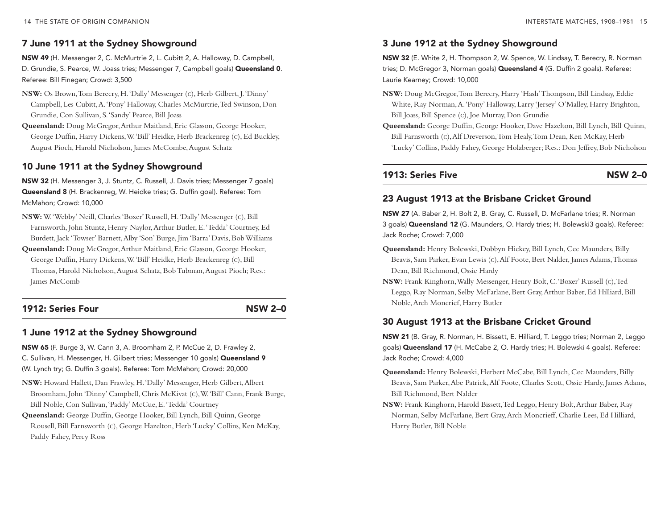## 7 June 1911 at the Sydney Showground

NSW 49 (h. Messenger 2, C. McMurtrie 2, L. Cubitt 2, a. halloway, D. Campbell, D. Grundie, S. Pearce, W. Joass tries; Messenger 7, Campbell goals) Queensland 0. Referee: bill finegan; Crowd: 3,500

- **NSW:** Os Brown, Tom Berecry, H.'Dally' Messenger (c), Herb Gilbert, J.'Dinny' Campbell, Les Cubitt, A.'Pony' Halloway, Charles McMurtrie, Ted Swinson, Don Grundie, Con Sullivan, S.'Sandy' Pearce, Bill Joass
- **Queensland:** Doug McGregor, Arthur Maitland, Eric Glasson, George Hooker, George Duffin, Harry Dickens, W.'Bill' Heidke, Herb Brackenreg (c), Ed Buckley, August Pioch, Harold Nicholson, James McCombe, August Schatz

#### 10 June 1911 at the Sydney Showground

NSW 32 (h. Messenger 3, J. Stuntz, C. Russell, J. Davis tries; Messenger 7 goals) Queensland 8 (H. Brackenreg, W. Heidke tries; G. Duffin goal). Referee: Tom McMahon; Crowd: 10,000

- **NSW:** W.'Webby' Neill, Charles 'Boxer' Russell, H.'Dally' Messenger (c), Bill Farnsworth, John Stuntz, Henry Naylor, Arthur Butler, E.'Tedda' Courtney, Ed Burdett, Jack 'Towser' Barnett, Alby 'Son' Burge, Jim 'Barra' Davis, BobWilliams
- **Queensland:** Doug McGregor, Arthur Maitland, Eric Glasson, George Hooker, George Duffin, Harry Dickens, W.'Bill' Heidke, Herb Brackenreg (c), Bill Thomas, Harold Nicholson, August Schatz, Bob Tubman, August Pioch; Res.: James McComb

## 1912: Series Four NSW 2–0

## 1 June 1912 at the Sydney Showground

NSW 65 (F. Burge 3, W. Cann 3, A. Broomham 2, P. McCue 2, D. Frawley 2, C. Sullivan, H. Messenger, H. Gilbert tries; Messenger 10 goals) Queensland 9 (W. Lynch try; G. Duffin 3 goals). Referee: Tom McMahon; Crowd: 20,000

- **NSW:** Howard Hallett, Dan Frawley, H.'Dally' Messenger, Herb Gilbert, Albert Broomham, John 'Dinny' Campbell, Chris McKivat (c), W.'Bill' Cann, Frank Burge, Bill Noble, Con Sullivan, 'Paddy' McCue, E.'Tedda' Courtney
- **Queensland:** George Duffin, George Hooker, Bill Lynch, Bill Quinn, George Rousell, Bill Farnsworth (c), George Hazelton, Herb 'Lucky' Collins, Ken McKay, Paddy Fahey, Percy Ross

## 3 June 1912 at the Sydney Showground

NSW 32 (E. White 2, H. Thompson 2, W. Spence, W. Lindsay, T. Berecry, R. Norman tries; D. McGregor 3, Norman goals) **Queensland 4** (G. Duffin 2 goals). Referee: Laurie Kearney; Crowd: 10,000

- **NSW:** Doug McGregor, Tom Berecry, Harry 'Hash' Thompson, Bill Lindsay, Eddie White, Ray Norman, A.'Pony' Halloway, Larry 'Jersey' O'Malley, Harry Brighton, Bill Joass, Bill Spence (c), Joe Murray, Don Grundie
- **Queensland:** George Duffin, George Hooker, Dave Hazelton, Bill Lynch, Bill Quinn, Bill Farnsworth (c), Alf Dreverson, Tom Healy, Tom Dean, Ken McKay, Herb 'Lucky' Collins, Paddy Fahey, George Holzberger; Res.: Don Jeffrey, Bob Nicholson

#### 1913: Series Five NSW 2–0

## 23 August 1913 at the Brisbane Cricket Ground

NSW 27 (A. Baber 2, H. Bolt 2, B. Gray, C. Russell, D. McFarlane tries; R. Norman 3 goals) **Queensland 12** (G. Maunders, O. Hardy tries; H. Bolewski3 goals). Referee: Jack Roche; Crowd: 7,000

- **Queensland:** Henry Bolewski, Dobbyn Hickey, Bill Lynch, Cec Maunders, Billy Beavis, Sam Parker, Evan Lewis (c), Alf Foote, Bert Nalder, James Adams, Thomas Dean, Bill Richmond, Ossie Hardy
- **NSW:** Frank Kinghorn, Wally Messenger, Henry Bolt, C.'Boxer' Russell (c), Ted Leggo, Ray Norman, Selby McFarlane, Bert Gray, Arthur Baber, Ed Hilliard, Bill Noble, Arch Moncrief, Harry Butler

## 30 August 1913 at the Brisbane Cricket Ground

NSW 21 (b. gray, R. Norman, h. bissett, e. hilliard, T. Leggo tries; Norman 2, Leggo goals) Queensland 17 (h. McCabe 2, O. hardy tries; h. bolewski 4 goals). Referee: Jack Roche; Crowd: 4,000

- **Queensland:** Henry Bolewski, Herbert McCabe, Bill Lynch, Cec Maunders, Billy Beavis, Sam Parker, Abe Patrick, Alf Foote, Charles Scott, Ossie Hardy, James Adams, Bill Richmond, Bert Nalder
- **NSW:** Frank Kinghorn, Harold Bissett, Ted Leggo, Henry Bolt, Arthur Baber, Ray Norman, Selby McFarlane, Bert Gray, Arch Moncrieff, Charlie Lees, Ed Hilliard, Harry Butler, Bill Noble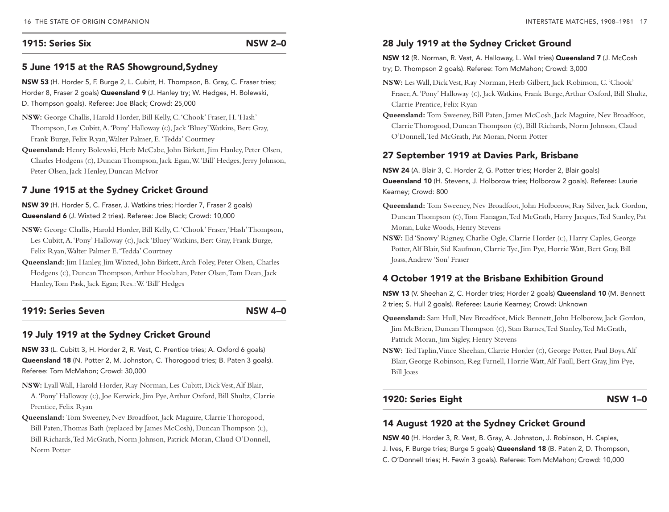#### 1915: Series Six NSW 2–0

#### 5 June 1915 at the RAS Showground,Sydney

NSW 53 (H. Horder 5, F. Burge 2, L. Cubitt, H. Thompson, B. Gray, C. Fraser tries; Horder 8, Fraser 2 goals) **Queensland 9** (J. Hanley try; W. Hedges, H. Bolewski, D. Thompson goals). Referee: Joe black; Crowd: 25,000

- **NSW:** George Challis, Harold Horder, Bill Kelly, C.'Chook' Fraser, H.'Hash' Thompson, Les Cubitt, A.'Pony' Halloway (c), Jack 'Bluey' Watkins, Bert Gray, Frank Burge, Felix Ryan, Walter Palmer, E.'Tedda' Courtney
- **Queensland:** Henry Bolewski, Herb McCabe, John Birkett, Jim Hanley, Peter Olsen, Charles Hodgens (c), Duncan Thompson, Jack Egan, W.'Bill' Hedges, Jerry Johnson, Peter Olsen, Jack Henley, Duncan McIvor

#### 7 June 1915 at the Sydney Cricket Ground

NSW 39 (h. horder 5, C. fraser, J. Watkins tries; horder 7, fraser 2 goals) Queensland 6 (J. Wixted 2 tries). Referee: Joe black; Crowd: 10,000

- **NSW:** George Challis, Harold Horder, Bill Kelly, C.'Chook' Fraser, 'Hash' Thompson, Les Cubitt, A.'Pony' Halloway (c), Jack 'Bluey' Watkins, Bert Gray, Frank Burge, Felix Ryan, Walter Palmer E.'Tedda' Courtney
- **Queensland:** Jim Hanley, Jim Wixted, John Birkett, Arch Foley, Peter Olsen, Charles Hodgens (c), Duncan Thompson, Arthur Hoolahan, Peter Olsen, Tom Dean, Jack Hanley, Tom Pask, Jack Egan; Res.: W.'Bill' Hedges

#### 1919: Series Seven NSW 4–0

#### 19 July 1919 at the Sydney Cricket Ground

NSW 33 (L. Cubitt 3, H. Horder 2, R. Vest, C. Prentice tries; A. Oxford 6 goals) Queensland 18 (N. Potter 2, M. Johnston, C. Thorogood tries; B. Paten 3 goals). Referee: Tom McMahon; Crowd: 30,000

- **NSW:** Lyall Wall, Harold Horder, Ray Norman, Les Cubitt, Dick Vest, Alf Blair, A.'Pony' Halloway (c), Joe Kerwick, Jim Pye, Arthur Oxford, Bill Shultz, Clarrie Prentice, Felix Ryan
- **Queensland:** Tom Sweeney, Nev Broadfoot, Jack Maguire, Clarrie Thorogood, Bill Paten, Thomas Bath (replaced by James McCosh), Duncan Thompson (c), Bill Richards, Ted McGrath, Norm Johnson, Patrick Moran, Claud O'Donnell, Norm Potter

#### 28 July 1919 at the Sydney Cricket Ground

NSW 12 (R. Norman, R. Vest, A. Halloway, L. Wall tries) Queensland 7 (J. McCosh try; D. Thompson 2 goals). Referee: Tom McMahon; Crowd: 3,000

- **NSW:** Les Wall, Dick Vest, Ray Norman, Herb Gilbert, Jack Robinson, C.'Chook' Fraser, A.'Pony' Halloway (c), Jack Watkins, Frank Burge, Arthur Oxford, Bill Shultz, Clarrie Prentice, Felix Ryan
- **Queensland:** Tom Sweeney, Bill Paten, James McCosh, Jack Maguire, Nev Broadfoot, Clarrie Thorogood, Duncan Thompson (c), Bill Richards, Norm Johnson, Claud O'Donnell, Ted McGrath, Pat Moran, Norm Potter

#### 27 September 1919 at Davies Park, Brisbane

NSW 24 (A. Blair 3, C. Horder 2, G. Potter tries; Horder 2, Blair goals) Queensland 10 (h. Stevens, J. holborow tries; holborow 2 goals). Referee: Laurie Kearney; Crowd: 800

- **Queensland:** Tom Sweeney, Nev Broadfoot, John Holborow, Ray Silver, Jack Gordon, Duncan Thompson (c), Tom Flanagan, Ted McGrath, Harry Jacques, Ted Stanley, Pat Moran, Luke Woods, Henry Stevens
- **NSW:** Ed 'Snowy' Rigney, Charlie Ogle, Clarrie Horder (c), Harry Caples, George Potter, Alf Blair, Sid Kaufman, Clarrie Tye, Jim Pye, Horrie Watt, Bert Gray, Bill Joass, Andrew 'Son' Fraser

#### 4 October 1919 at the Brisbane Exhibition Ground

NSW 13 (V. Sheehan 2, C. Horder tries; Horder 2 goals) Queensland 10 (M. Bennett 2 tries; S. hull 2 goals). Referee: Laurie Kearney; Crowd: Unknown

- **Queensland:** Sam Hull, Nev Broadfoot, Mick Bennett, John Holborow, Jack Gordon, Jim McBrien, Duncan Thompson (c), Stan Barnes, Ted Stanley, Ted McGrath, Patrick Moran, Jim Sigley, Henry Stevens
- **NSW:** Ted Taplin, Vince Sheehan, Clarrie Horder (c), George Potter, Paul Boys, Alf Blair, George Robinson, Reg Farnell, Horrie Watt, Alf Faull, Bert Gray, Jim Pye, Bill Joass

#### 1920: Series Eight NSW 1–0

#### 14 August 1920 at the Sydney Cricket Ground

NSW 40 (H. Horder 3, R. Vest, B. Gray, A. Johnston, J. Robinson, H. Caples, J. Ives, F. Burge tries; Burge 5 goals) **Queensland 18** (B. Paten 2, D. Thompson, C. O'Donnell tries; h. fewin 3 goals). Referee: Tom McMahon; Crowd: 10,000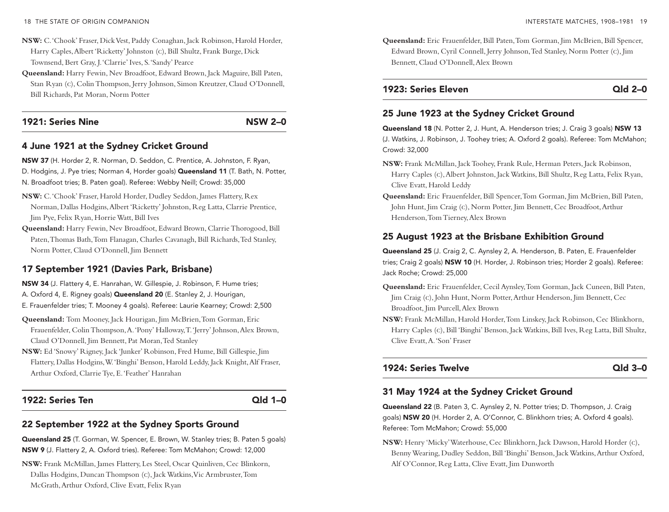- **NSW:** C.'Chook' Fraser, Dick Vest, Paddy Conaghan, Jack Robinson, Harold Horder, Harry Caples, Albert 'Ricketty' Johnston (c), Bill Shultz, Frank Burge, Dick Townsend, Bert Gray, J.'Clarrie' Ives, S.'Sandy' Pearce
- **Queensland:** Harry Fewin, Nev Broadfoot, Edward Brown, Jack Maguire, Bill Paten, Stan Ryan (c), Colin Thompson, Jerry Johnson, Simon Kreutzer, Claud O'Donnell, Bill Richards, Pat Moran, Norm Potter

#### 1921: Series Nine NSW 2–0

#### 4 June 1921 at the Sydney Cricket Ground

NSW 37 (h. horder 2, R. Norman, D. Seddon, C. Prentice, a. Johnston, f. Ryan,

D. Hodgins, J. Pye tries; Norman 4, Horder goals) Queensland 11 (T. Bath, N. Potter, N. broadfoot tries; b. Paten goal). Referee: Webby Neill; Crowd: 35,000

- **NSW:** C.'Chook' Fraser, Harold Horder, Dudley Seddon, James Flattery, Rex Norman, Dallas Hodgins, Albert 'Ricketty' Johnston, Reg Latta, Clarrie Prentice, Jim Pye, Felix Ryan, Horrie Watt, Bill Ives
- **Queensland:** Harry Fewin, Nev Broadfoot, Edward Brown, Clarrie Thorogood, Bill Paten, Thomas Bath, Tom Flanagan, Charles Cavanagh, Bill Richards, Ted Stanley, Norm Potter, Claud O'Donnell, Jim Bennett

#### 17 September 1921 (Davies Park, Brisbane)

NSW 34 (J. Flattery 4, E. Hanrahan, W. Gillespie, J. Robinson, F. Hume tries; A. Oxford 4, E. Rigney goals) **Queensland 20** (E. Stanley 2, J. Hourigan, e. frauenfelder tries; T. Mooney 4 goals). Referee: Laurie Kearney; Crowd: 2,500

- **Queensland:** Tom Mooney, Jack Hourigan, Jim McBrien, Tom Gorman, Eric Frauenfelder, Colin Thompson, A.'Pony' Halloway, T.'Jerry' Johnson, Alex Brown, Claud O'Donnell, Jim Bennett, Pat Moran, Ted Stanley
- **NSW:** Ed 'Snowy' Rigney, Jack 'Junker' Robinson, Fred Hume, Bill Gillespie, Jim Flattery, Dallas Hodgins, W.'Binghi' Benson, Harold Leddy, Jack Knight, Alf Fraser, Arthur Oxford, Clarrie Tye, E.'Feather' Hanrahan

#### 1922: Series Ten Qld 1–0

#### 22 September 1922 at the Sydney Sports Ground

Queensland 25 (T. Gorman, W. Spencer, E. Brown, W. Stanley tries; B. Paten 5 goals) NSW 9 (J. flattery 2, a. Oxford tries). Referee: Tom McMahon; Crowd: 12,000

**NSW:** Frank McMillan, James Flattery, Les Steel, Oscar Quinliven, Cec Blinkorn, Dallas Hodgins, Duncan Thompson (c), Jack Watkins, Vic Armbruster, Tom McGrath, Arthur Oxford, Clive Evatt, Felix Ryan

**Queensland:** Eric Frauenfelder, Bill Paten, Tom Gorman, Jim McBrien, Bill Spencer, Edward Brown, Cyril Connell, Jerry Johnson, Ted Stanley, Norm Potter (c), Jim Bennett, Claud O'Donnell, Alex Brown

#### 1923: Series Eleven Qld 2–0

#### 25 June 1923 at the Sydney Cricket Ground

Queensland 18 (N. Potter 2, J. hunt, a. henderson tries; J. Craig 3 goals) NSW 13 (J. Watkins, J. Robinson, J. Toohey tries; a. Oxford 2 goals). Referee: Tom McMahon; Crowd: 32,000

- **NSW:** Frank McMillan, Jack Toohey, Frank Rule, Herman Peters, Jack Robinson, Harry Caples (c), Albert Johnston, Jack Watkins, Bill Shultz, Reg Latta, Felix Ryan, Clive Evatt, Harold Leddy
- **Queensland:** Eric Frauenfelder, Bill Spencer, Tom Gorman, Jim McBrien, Bill Paten, John Hunt, Jim Craig (c), Norm Potter, Jim Bennett, Cec Broadfoot, Arthur Henderson, Tom Tierney, Alex Brown

#### 25 August 1923 at the Brisbane Exhibition Ground

Queensland 25 (J. Craig 2, C. Aynsley 2, A. Henderson, B. Paten, E. Frauenfelder tries; Craig 2 goals) NSW 10 (H. Horder, J. Robinson tries; Horder 2 goals). Referee: Jack Roche; Crowd: 25,000

- **Queensland:** Eric Frauenfelder, Cecil Aynsley, Tom Gorman, Jack Cuneen, Bill Paten, Jim Craig (c), John Hunt, Norm Potter, Arthur Henderson, Jim Bennett, Cec Broadfoot, Jim Purcell, Alex Brown
- **NSW:** Frank McMillan, Harold Horder, Tom Linskey, Jack Robinson, Cec Blinkhorn, Harry Caples (c), Bill 'Binghi' Benson, Jack Watkins, Bill Ives, Reg Latta, Bill Shultz, Clive Evatt, A.'Son' Fraser

#### 1924: Series Twelve **Communist Communist Communist Communist Communist Communist Communist Communist Communist Communist Communist Communist Communist Communist Communist Communist Communist Communist Communist Communist C**

#### 31 May 1924 at the Sydney Cricket Ground

Queensland 22 (b. Paten 3, C. aynsley 2, N. Potter tries; D. Thompson, J. Craig goals) NSW 20 (H. Horder 2, A. O'Connor, C. Blinkhorn tries; A. Oxford 4 goals). Referee: Tom McMahon; Crowd: 55,000

**NSW:** Henry 'Micky' Waterhouse, Cec Blinkhorn, Jack Dawson, Harold Horder (c), Benny Wearing, Dudley Seddon, Bill 'Binghi' Benson, Jack Watkins, Arthur Oxford, Alf O'Connor, Reg Latta, Clive Evatt, Jim Dunworth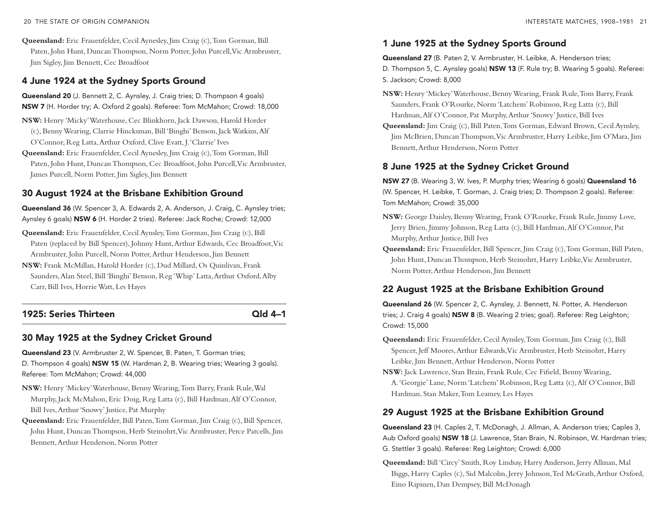**Queensland:** Eric Frauenfelder, Cecil Aynesley, Jim Craig (c), Tom Gorman, Bill Paten, John Hunt, Duncan Thompson, Norm Potter, John Purcell, Vic Armbruster, Jim Sigley, Jim Bennett, Cec Broadfoot

#### 4 June 1924 at the Sydney Sports Ground

Queensland 20 (J. bennett 2, C. aynsley, J. Craig tries; D. Thompson 4 goals) NSW 7 (H. Horder try; A. Oxford 2 goals). Referee: Tom McMahon; Crowd: 18,000

- **NSW:** Henry 'Micky' Waterhouse, Cec Blinkhorn, Jack Dawson, Harold Horder (c), Benny Wearing, Clarrie Hincksman, Bill 'Binghi' Benson, Jack Watkins, Alf O'Connor, Reg Latta, Arthur Oxford, Clive Evatt, J.'Clarrie' Ives
- **Queensland:** Eric Frauenfelder, Cecil Aynesley, Jim Craig (c), Tom Gorman, Bill Paten, John Hunt, Duncan Thompson, Cec Broadfoot, John Purcell, Vic Armbruster, James Purcell, Norm Potter, Jim Sigley, Jim Bennett

#### 30 August 1924 at the Brisbane Exhibition Ground

Queensland 36 (W. Spencer 3, A. Edwards 2, A. Anderson, J. Craig, C. Aynsley tries; Aynsley 6 goals) NSW 6 (H. Horder 2 tries). Referee: Jack Roche; Crowd: 12,000

- **Queensland:** Eric Frauenfelder, Cecil Aynsley, Tom Gorman, Jim Craig (c), Bill Paten (replaced by Bill Spencer), Johnny Hunt, Arthur Edwards, Cec Broadfoot, Vic Armbruster, John Purcell, Norm Potter, Arthur Henderson, Jim Bennett
- **NSW:** Frank McMillan, Harold Horder (c), Dud Millard, Os Quinlivan, Frank Saunders, Alan Steel, Bill 'Binghi' Benson, Reg 'Whip' Latta, Arthur Oxford, Alby Carr, Bill Ives, Horrie Watt, Les Hayes

#### 1925: Series Thirteen Qld 4–1

#### 30 May 1925 at the Sydney Cricket Ground

Queensland 23 (V. Armbruster 2, W. Spencer, B. Paten, T. Gorman tries; D. Thompson 4 goals) **NSW 15** (W. Hardman 2, B. Wearing tries; Wearing 3 goals). Referee: Tom McMahon; Crowd: 44,000

- **NSW:** Henry 'Mickey' Waterhouse, Benny Wearing, Tom Barry, Frank Rule, Wal Murphy, Jack McMahon, Eric Doig, Reg Latta (c), Bill Hardman, Alf O'Connor, Bill Ives, Arthur 'Snowy' Justice, Pat Murphy
- **Queensland:** Eric Frauenfelder, Bill Paten, Tom Gorman, Jim Craig (c), Bill Spencer, John Hunt, Duncan Thompson, Herb Steinohrt, Vic Armbruster, Perce Parcells, Jim Bennett, Arthur Henderson, Norm Potter

#### 1 June 1925 at the Sydney Sports Ground

Queensland 27 (B. Paten 2, V. Armbruster, H. Leibke, A. Henderson tries; D. Thompson 5, C. Aynsley goals) NSW 13 (F. Rule try; B. Wearing 5 goals). Referee: S. Jackson; Crowd: 8,000

- **NSW:** Henry 'Mickey' Waterhouse, Benny Wearing, Frank Rule, Tom Barry, Frank Saunders, Frank O'Rourke, Norm 'Latchem' Robinson, Reg Latta (c), Bill Hardman, Alf O'Connor, Pat Murphy, Arthur 'Snowy' Justice, Bill Ives
- **Queensland:** Jim Craig (c), Bill Paten, Tom Gorman, Edward Brown, Cecil Aynsley, Jim McBrien, Duncan Thompson, Vic Armbruster, Harry Leibke, Jim O'Mara, Jim Bennett, Arthur Henderson, Norm Potter

#### 8 June 1925 at the Sydney Cricket Ground

NSW 27 (B. Wearing 3, W. Ives, P. Murphy tries; Wearing 6 goals) Queensland 16 (W. Spencer, h. Leibke, T. gorman, J. Craig tries; D. Thompson 2 goals). Referee: Tom McMahon; Crowd: 35,000

- **NSW:** George Daisley, Benny Wearing, Frank O'Rourke, Frank Rule, Jimmy Love, Jerry Brien, Jimmy Johnson, Reg Latta (c), Bill Hardman, Alf O'Connor, Pat Murphy, Arthur Justice, Bill Ives
- **Queensland:** Eric Frauenfelder, Bill Spencer, Jim Craig (c), Tom Gorman, Bill Paten, John Hunt, Duncan Thompson, Herb Steinohrt, Harry Leibke, Vic Armbruster, Norm Potter, Arthur Henderson, Jim Bennett

#### 22 August 1925 at the Brisbane Exhibition Ground

Queensland 26 (W. Spencer 2, C. Aynsley, J. Bennett, N. Potter, A. Henderson tries; J. Craig 4 goals) NSW 8 (B. Wearing 2 tries; goal). Referee: Reg Leighton; Crowd: 15,000

- **Queensland:** Eric Frauenfelder, Cecil Aynsley, Tom Gorman, Jim Craig (c), Bill Spencer, Jeff Moores, Arthur Edwards, Vic Armbruster, Herb Steinohrt, Harry Leibke, Jim Bennett, Arthur Henderson, Norm Potter
- **NSW:** Jack Lawrence, Stan Brain, Frank Rule, Cec Fifield, Benny Wearing, A.'Georgie' Lane, Norm 'Latchem' Robinson, Reg Latta (c), Alf O'Connor, Bill Hardman, Stan Maker, Tom Leamey, Les Hayes

#### 29 August 1925 at the Brisbane Exhibition Ground

Queensland 23 (H. Caples 2, T. McDonagh, J. Allman, A. Anderson tries; Caples 3, Aub Oxford goals) NSW 18 (J. Lawrence, Stan Brain, N. Robinson, W. Hardman tries; g. Stettler 3 goals). Referee: Reg Leighton; Crowd: 6,000

**Queensland:** Bill 'Circy' Smith, Roy Lindsay, Harry Anderson, Jerry Allman, Mal Biggs, Harry Caples (c), Sid Malcolm, Jerry Johnson, Ted McGrath, Arthur Oxford, Eino Ripinen, Dan Dempsey, Bill McDonagh